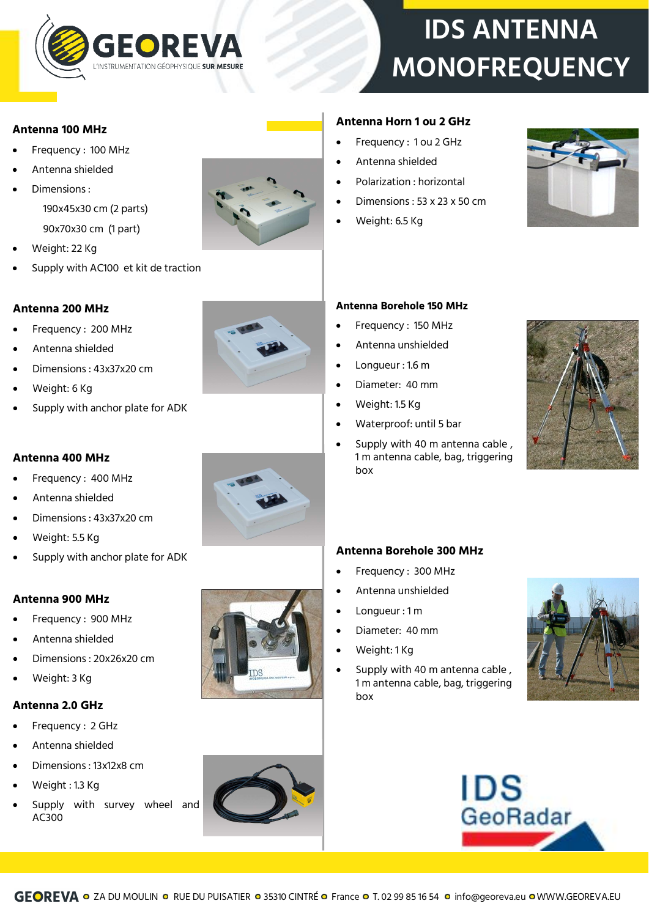

# **IDS ANTENNA MONOFREQUENCY**

#### **Antenna 100 MHz**

- Frequency : 100 MHz
- Antenna shielded
- Dimensions : 190x45x30 cm (2 parts)

90x70x30 cm (1 part)

- Weight: 22 Kg
- Supply with AC100 et kit de traction

## **Antenna 200 MHz**

- Frequency : 200 MHz
- Antenna shielded
- Dimensions : 43x37x20 cm
- Weight: 6 Kg
- Supply with anchor plate for ADK



### **Antenna 400 MHz**

- Frequency : 400 MHz
- Antenna shielded
- Dimensions : 43x37x20 cm
- Weight: 5.5 Kg
- Supply with anchor plate for ADK

### **Antenna 900 MHz**

- Frequency : 900 MHz
- Antenna shielded
- Dimensions : 20x26x20 cm
- Weight: 3 Kg

#### **Antenna 2.0 GHz**

- Frequency : 2 GHz
- Antenna shielded
- Dimensions : 13x12x8 cm
- Weight : 1.3 Kg
- Supply with survey wheel and AC300





## **Antenna Borehole 150 MHz**

**Antenna Horn 1 ou 2 GHz**  Frequency : 1 ou 2 GHz

Antenna shielded

Weight: 6.5 Kg

Polarization : horizontal

Dimensions : 53 x 23 x 50 cm

- Frequency: 150 MHz
- Antenna unshielded
- Longueur : 1.6 m
- Diameter: 40 mm
- Weight: 1.5 Kg
- Waterproof: until 5 bar
- Supply with 40 m antenna cable , 1 m antenna cable, bag, triggering box



### **Antenna Borehole 300 MHz**

- Frequency : 300 MHz
- Antenna unshielded
- Longueur : 1 m
- Diameter: 40 mm
- Weight: 1 Kg
- Supply with 40 m antenna cable , 1 m antenna cable, bag, triggering box